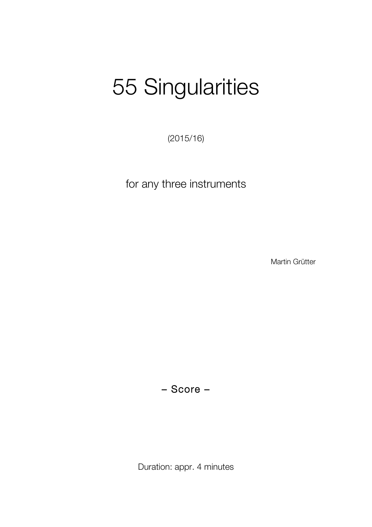# 55 Singularities

(2015/16)

for any three instruments

Martin Grütter

– Score –

Duration: appr. 4 minutes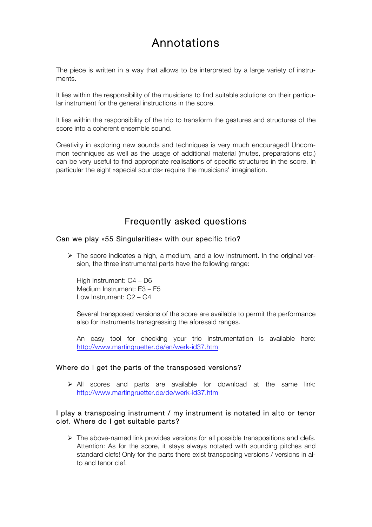## Annotations

The piece is written in a way that allows to be interpreted by a large variety of instruments.

It lies within the responsibility of the musicians to find suitable solutions on their particular instrument for the general instructions in the score.

It lies within the responsibility of the trio to transform the gestures and structures of the score into a coherent ensemble sound.

Creativity in exploring new sounds and techniques is very much encouraged! Uncommon techniques as well as the usage of additional material (mutes, preparations etc.) can be very useful to find appropriate realisations of specific structures in the score. In particular the eight »special sounds« require the musicians' imagination.

### Frequently asked questions

#### Can we play »55 Singularities« with our specific trio?

 $\triangleright$  The score indicates a high, a medium, and a low instrument. In the original version, the three instrumental parts have the following range:

High Instrument: C4 – D6 Medium Instrument: E3 – F5 Low Instrument: C2 – G4

Several transposed versions of the score are available to permit the performance also for instruments transgressing the aforesaid ranges.

An easy tool for checking your trio instrumentation is available here: http://www.martingruetter.de/en/werk-id37.htm

#### Where do I get the parts of the transposed versions?

 $\triangleright$  All scores and parts are available for download at the same link: http://www.martingruetter.de/de/werk-id37.htm

#### I play a transposing instrument / my instrument is notated in alto or tenor clef. Where do I get suitable parts?

 $\triangleright$  The above-named link provides versions for all possible transpositions and clefs. Attention: As for the score, it stays always notated with sounding pitches and standard clefs! Only for the parts there exist transposing versions / versions in alto and tenor clef.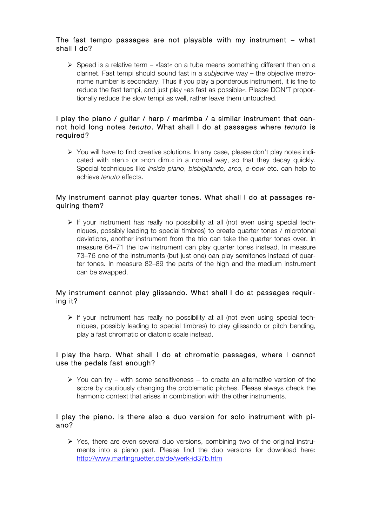#### The fast tempo passages are not playable with my instrument – what shall I do?

 $\triangleright$  Speed is a relative term – »fast« on a tuba means something different than on a clarinet. Fast tempi should sound fast in a *subjective* way – the objective metronome number is secondary. Thus if you play a ponderous instrument, it is fine to reduce the fast tempi, and just play »as fast as possible«. Please DON'T proportionally reduce the slow tempi as well, rather leave them untouched.

#### I play the piano / guitar / harp / marimba / a similar instrument that cannot hold long notes *tenuto*. What shall I do at passages where *tenuto* is required?

 $\triangleright$  You will have to find creative solutions. In any case, please don't play notes indicated with »ten.» or »non dim.« in a normal way, so that they decay quickly. Special techniques like *inside piano*, *bisbigliando, arco, e-bow* etc. can help to achieve *tenuto* effects.

#### My instrument cannot play quarter tones. What shall I do at passages requiring them?

 $\triangleright$  If your instrument has really no possibility at all (not even using special techniques, possibly leading to special timbres) to create quarter tones / microtonal deviations, another instrument from the trio can take the quarter tones over. In measure 64–71 the low instrument can play quarter tones instead. In measure 73–76 one of the instruments (but just one) can play semitones instead of quarter tones. In measure 82–89 the parts of the high and the medium instrument can be swapped.

#### My instrument cannot play glissando. What shall I do at passages requiring it?

 $\triangleright$  If your instrument has really no possibility at all (not even using special techniques, possibly leading to special timbres) to play glissando or pitch bending, play a fast chromatic or diatonic scale instead.

#### I play the harp. What shall I do at chromatic passages, where I cannot use the pedals fast enough?

 $\triangleright$  You can try – with some sensitiveness – to create an alternative version of the score by cautiously changing the problematic pitches. Please always check the harmonic context that arises in combination with the other instruments.

#### I play the piano. Is there also a duo version for solo instrument with piano?

 $\triangleright$  Yes, there are even several duo versions, combining two of the original instruments into a piano part. Please find the duo versions for download here: http://www.martingruetter.de/de/werk-id37b.htm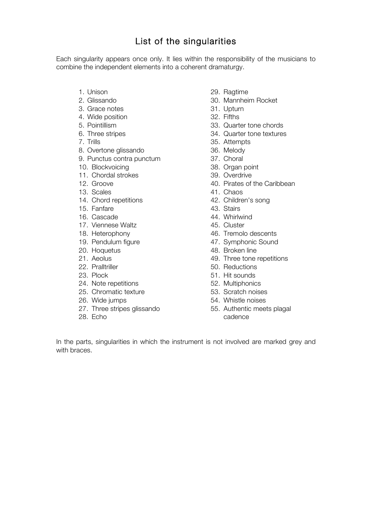## List of the singularities

Each singularity appears once only. It lies within the responsibility of the musicians to combine the independent elements into a coherent dramaturgy.

- 1. Unison
- 2. Glissando
- 3. Grace notes
- 4. Wide position
- 5. Pointillism
- 6. Three stripes
- 7. Trills
- 8. Overtone glissando
- 9. Punctus contra punctum
- 10. Blockvoicing
- 11. Chordal strokes
- 12. Groove
- 13. Scales
- 14. Chord repetitions
- 15. Fanfare
- 16. Cascade
- 17. Viennese Waltz
- 18. Heterophony
- 19. Pendulum figure
- 20. Hoquetus
- 21. Aeolus
- 22. Pralltriller
- 23. Plock
- 24. Note repetitions
- 25. Chromatic texture
- 26. Wide jumps
- 27. Three stripes glissando
- 28. Echo
- 29. Ragtime
- 30. Mannheim Rocket
- 31. Upturn
- 32. Fifths
- 33. Quarter tone chords
- 34. Quarter tone textures
- 35. Attempts
- 36. Melody
- 37. Choral
- 38. Organ point
- 39. Overdrive
- 40. Pirates of the Caribbean
- 41. Chaos
- 42. Children's song
- 43. Stairs
- 44. Whirlwind
- 45. Cluster
- 46. Tremolo descents
- 47. Symphonic Sound
- 48. Broken line
- 49. Three tone repetitions
- 50. Reductions
- 51. Hit sounds
- 52. Multiphonics
- 53. Scratch noises
- 54. Whistle noises
- 55. Authentic meets plagal cadence

In the parts, singularities in which the instrument is not involved are marked grey and with braces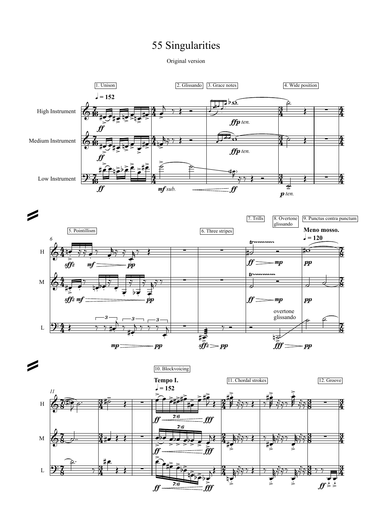## 55 Singularities

Original version

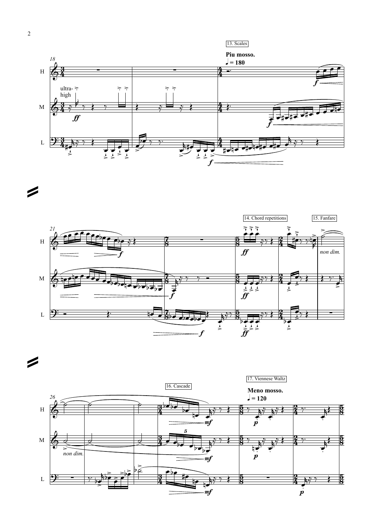



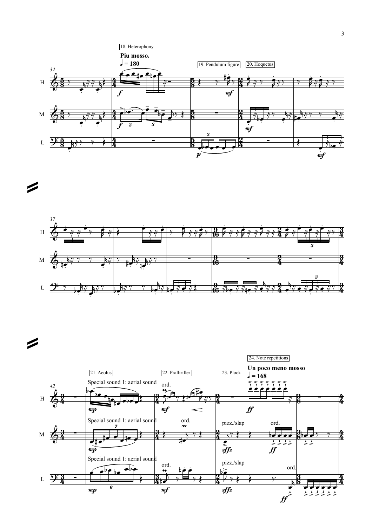



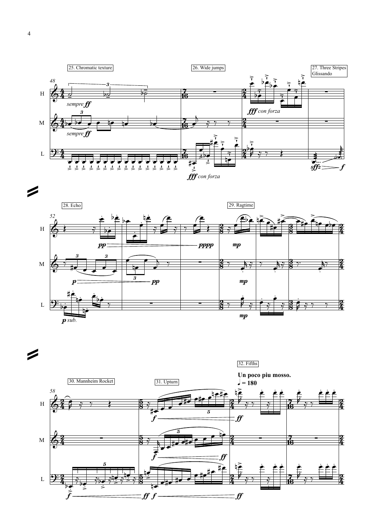



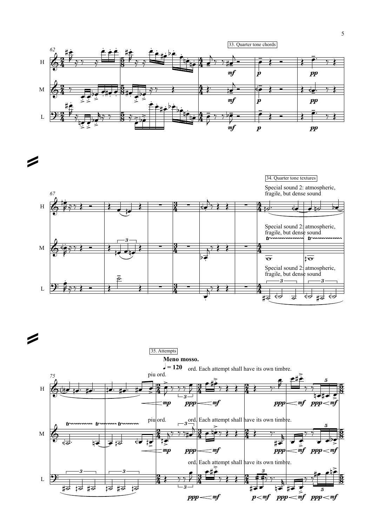



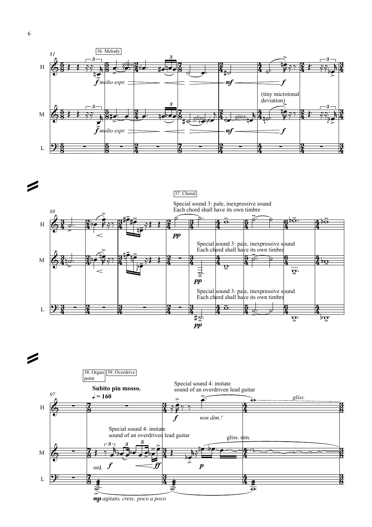



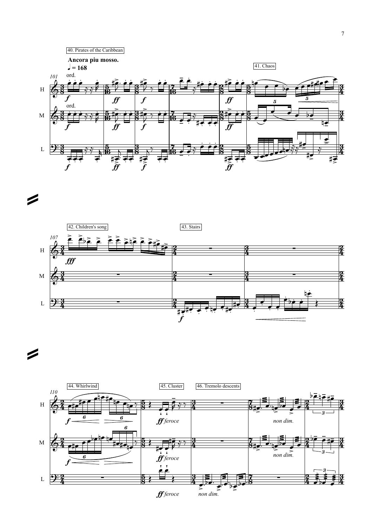



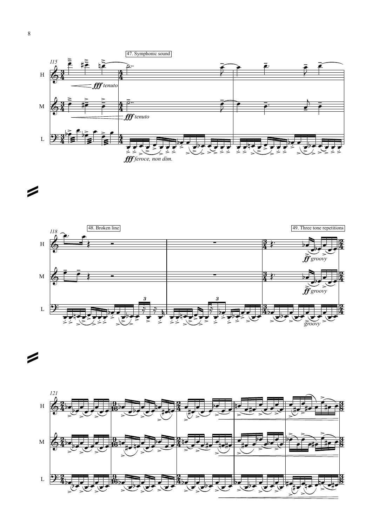